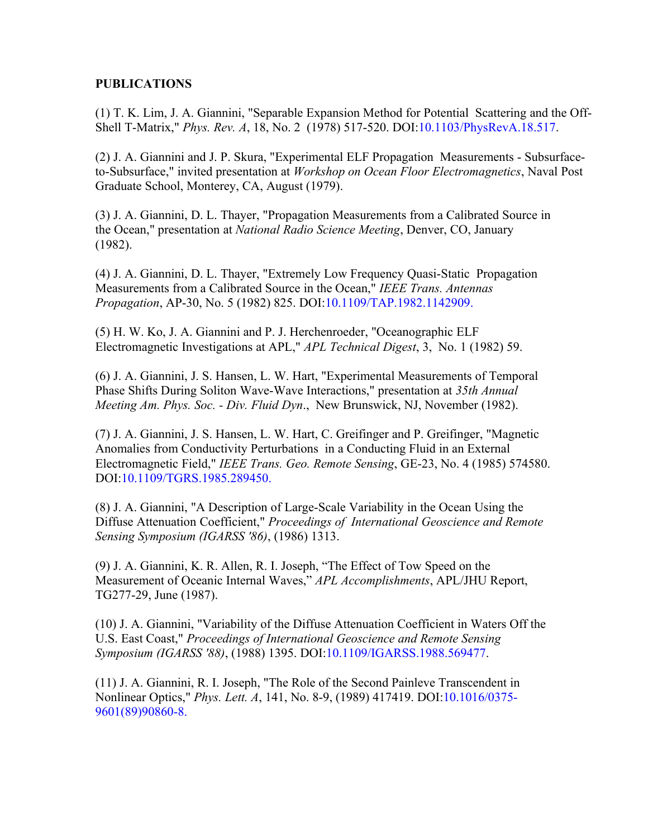## **PUBLICATIONS**

(1) T. K. Lim, J. A. Giannini, "Separable Expansion Method for Potential Scattering and the Off-Shell T-Matrix," *Phys. Rev. A*, 18, No. 2 (1978) 517-520. DOI:10.1103/PhysRevA.18.517.

(2) J. A. Giannini and J. P. Skura, "Experimental ELF Propagation Measurements - Subsurfaceto-Subsurface," invited presentation at *Workshop on Ocean Floor Electromagnetics*, Naval Post Graduate School, Monterey, CA, August (1979).

(3) J. A. Giannini, D. L. Thayer, "Propagation Measurements from a Calibrated Source in the Ocean," presentation at *National Radio Science Meeting*, Denver, CO, January (1982).

(4) J. A. Giannini, D. L. Thayer, "Extremely Low Frequency Quasi-Static Propagation Measurements from a Calibrated Source in the Ocean," *IEEE Trans. Antennas Propagation*, AP-30, No. 5 (1982) 825. DOI:10.1109/TAP.1982.1142909.

(5) H. W. Ko, J. A. Giannini and P. J. Herchenroeder, "Oceanographic ELF Electromagnetic Investigations at APL," *APL Technical Digest*, 3, No. 1 (1982) 59.

(6) J. A. Giannini, J. S. Hansen, L. W. Hart, "Experimental Measurements of Temporal Phase Shifts During Soliton Wave-Wave Interactions," presentation at *35th Annual Meeting Am. Phys. Soc. - Div. Fluid Dyn*., New Brunswick, NJ, November (1982).

(7) J. A. Giannini, J. S. Hansen, L. W. Hart, C. Greifinger and P. Greifinger, "Magnetic Anomalies from Conductivity Perturbations in a Conducting Fluid in an External Electromagnetic Field," *IEEE Trans. Geo. Remote Sensing*, GE-23, No. 4 (1985) 574580. DOI:10.1109/TGRS.1985.289450.

(8) J. A. Giannini, "A Description of Large-Scale Variability in the Ocean Using the Diffuse Attenuation Coefficient," *Proceedings of International Geoscience and Remote Sensing Symposium (IGARSS '86)*, (1986) 1313.

(9) J. A. Giannini, K. R. Allen, R. I. Joseph, "The Effect of Tow Speed on the Measurement of Oceanic Internal Waves," *APL Accomplishments*, APL/JHU Report, TG277-29, June (1987).

(10) J. A. Giannini, "Variability of the Diffuse Attenuation Coefficient in Waters Off the U.S. East Coast," *Proceedings of International Geoscience and Remote Sensing Symposium (IGARSS '88)*, (1988) 1395. DOI:10.1109/IGARSS.1988.569477.

(11) J. A. Giannini, R. I. Joseph, "The Role of the Second Painleve Transcendent in Nonlinear Optics," *Phys. Lett. A*, 141, No. 8-9, (1989) 417419. DOI:10.1016/0375- 9601(89)90860-8.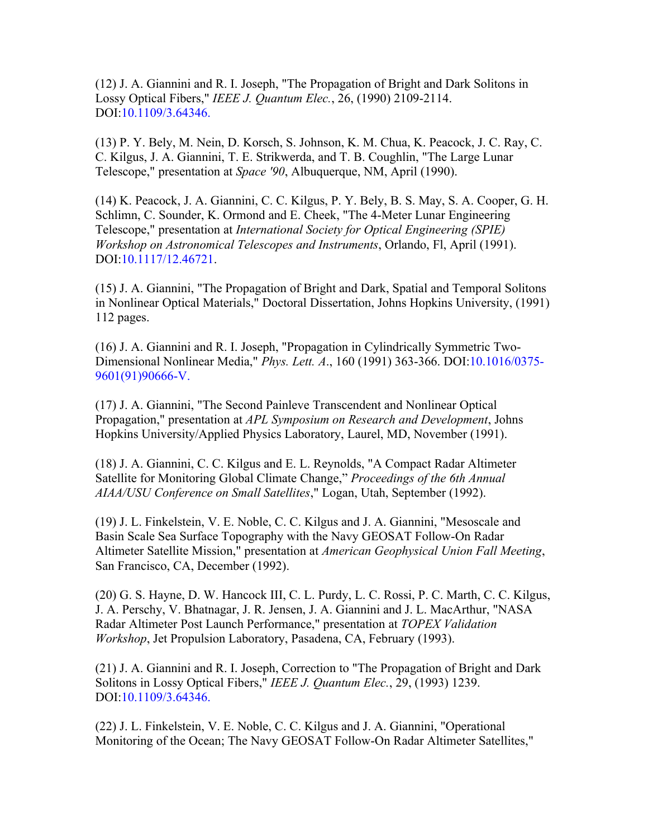(12) J. A. Giannini and R. I. Joseph, "The Propagation of Bright and Dark Solitons in Lossy Optical Fibers," *IEEE J. Quantum Elec.*, 26, (1990) 2109-2114. DOI:10.1109/3.64346.

(13) P. Y. Bely, M. Nein, D. Korsch, S. Johnson, K. M. Chua, K. Peacock, J. C. Ray, C. C. Kilgus, J. A. Giannini, T. E. Strikwerda, and T. B. Coughlin, "The Large Lunar Telescope," presentation at *Space '90*, Albuquerque, NM, April (1990).

(14) K. Peacock, J. A. Giannini, C. C. Kilgus, P. Y. Bely, B. S. May, S. A. Cooper, G. H. Schlimn, C. Sounder, K. Ormond and E. Cheek, "The 4-Meter Lunar Engineering Telescope," presentation at *International Society for Optical Engineering (SPIE) Workshop on Astronomical Telescopes and Instruments*, Orlando, Fl, April (1991). DOI:10.1117/12.46721.

(15) J. A. Giannini, "The Propagation of Bright and Dark, Spatial and Temporal Solitons in Nonlinear Optical Materials," Doctoral Dissertation, Johns Hopkins University, (1991) 112 pages.

(16) J. A. Giannini and R. I. Joseph, "Propagation in Cylindrically Symmetric Two-Dimensional Nonlinear Media," *Phys. Lett. A*., 160 (1991) 363-366. DOI:10.1016/0375- 9601(91)90666-V.

(17) J. A. Giannini, "The Second Painleve Transcendent and Nonlinear Optical Propagation," presentation at *APL Symposium on Research and Development*, Johns Hopkins University/Applied Physics Laboratory, Laurel, MD, November (1991).

(18) J. A. Giannini, C. C. Kilgus and E. L. Reynolds, "A Compact Radar Altimeter Satellite for Monitoring Global Climate Change," *Proceedings of the 6th Annual AIAA/USU Conference on Small Satellites*," Logan, Utah, September (1992).

(19) J. L. Finkelstein, V. E. Noble, C. C. Kilgus and J. A. Giannini, "Mesoscale and Basin Scale Sea Surface Topography with the Navy GEOSAT Follow-On Radar Altimeter Satellite Mission," presentation at *American Geophysical Union Fall Meeting*, San Francisco, CA, December (1992).

(20) G. S. Hayne, D. W. Hancock III, C. L. Purdy, L. C. Rossi, P. C. Marth, C. C. Kilgus, J. A. Perschy, V. Bhatnagar, J. R. Jensen, J. A. Giannini and J. L. MacArthur, "NASA Radar Altimeter Post Launch Performance," presentation at *TOPEX Validation Workshop*, Jet Propulsion Laboratory, Pasadena, CA, February (1993).

(21) J. A. Giannini and R. I. Joseph, Correction to "The Propagation of Bright and Dark Solitons in Lossy Optical Fibers," *IEEE J. Quantum Elec.*, 29, (1993) 1239. DOI:10.1109/3.64346.

(22) J. L. Finkelstein, V. E. Noble, C. C. Kilgus and J. A. Giannini, "Operational Monitoring of the Ocean; The Navy GEOSAT Follow-On Radar Altimeter Satellites,"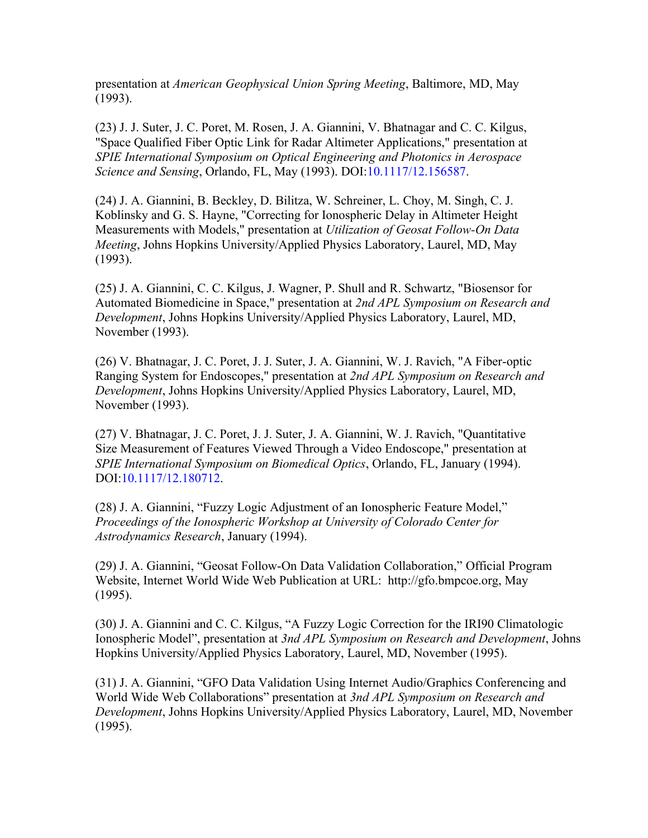presentation at *American Geophysical Union Spring Meeting*, Baltimore, MD, May (1993).

(23) J. J. Suter, J. C. Poret, M. Rosen, J. A. Giannini, V. Bhatnagar and C. C. Kilgus, "Space Qualified Fiber Optic Link for Radar Altimeter Applications," presentation at *SPIE International Symposium on Optical Engineering and Photonics in Aerospace Science and Sensing*, Orlando, FL, May (1993). DOI:10.1117/12.156587.

(24) J. A. Giannini, B. Beckley, D. Bilitza, W. Schreiner, L. Choy, M. Singh, C. J. Koblinsky and G. S. Hayne, "Correcting for Ionospheric Delay in Altimeter Height Measurements with Models," presentation at *Utilization of Geosat Follow-On Data Meeting*, Johns Hopkins University/Applied Physics Laboratory, Laurel, MD, May (1993).

(25) J. A. Giannini, C. C. Kilgus, J. Wagner, P. Shull and R. Schwartz, "Biosensor for Automated Biomedicine in Space," presentation at *2nd APL Symposium on Research and Development*, Johns Hopkins University/Applied Physics Laboratory, Laurel, MD, November (1993).

(26) V. Bhatnagar, J. C. Poret, J. J. Suter, J. A. Giannini, W. J. Ravich, "A Fiber-optic Ranging System for Endoscopes," presentation at *2nd APL Symposium on Research and Development*, Johns Hopkins University/Applied Physics Laboratory, Laurel, MD, November (1993).

(27) V. Bhatnagar, J. C. Poret, J. J. Suter, J. A. Giannini, W. J. Ravich, "Quantitative Size Measurement of Features Viewed Through a Video Endoscope," presentation at *SPIE International Symposium on Biomedical Optics*, Orlando, FL, January (1994). DOI:10.1117/12.180712.

(28) J. A. Giannini, "Fuzzy Logic Adjustment of an Ionospheric Feature Model," *Proceedings of the Ionospheric Workshop at University of Colorado Center for Astrodynamics Research*, January (1994).

(29) J. A. Giannini, "Geosat Follow-On Data Validation Collaboration," Official Program Website, Internet World Wide Web Publication at URL: http://gfo.bmpcoe.org, May (1995).

(30) J. A. Giannini and C. C. Kilgus, "A Fuzzy Logic Correction for the IRI90 Climatologic Ionospheric Model", presentation at *3nd APL Symposium on Research and Development*, Johns Hopkins University/Applied Physics Laboratory, Laurel, MD, November (1995).

(31) J. A. Giannini, "GFO Data Validation Using Internet Audio/Graphics Conferencing and World Wide Web Collaborations" presentation at *3nd APL Symposium on Research and Development*, Johns Hopkins University/Applied Physics Laboratory, Laurel, MD, November (1995).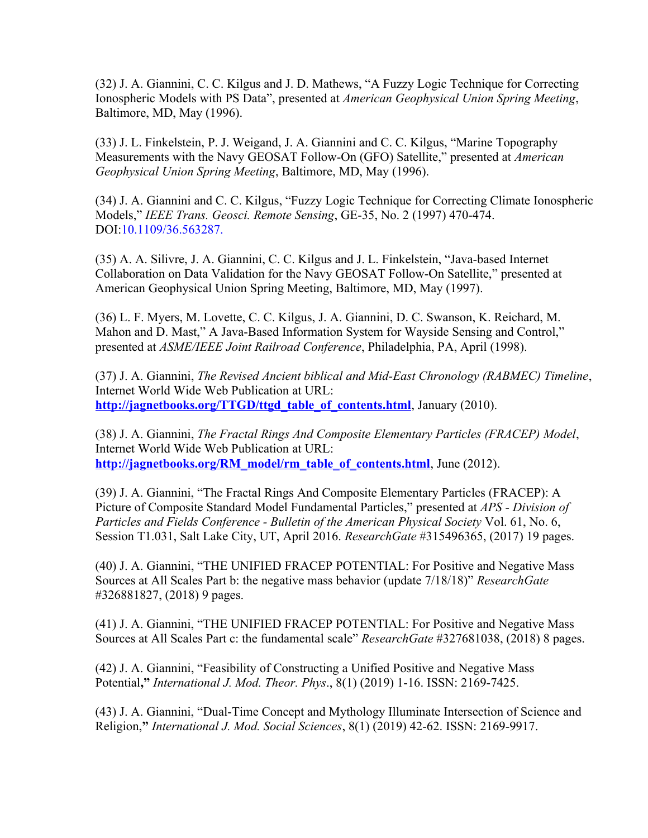(32) J. A. Giannini, C. C. Kilgus and J. D. Mathews, "A Fuzzy Logic Technique for Correcting Ionospheric Models with PS Data", presented at *American Geophysical Union Spring Meeting*, Baltimore, MD, May (1996).

(33) J. L. Finkelstein, P. J. Weigand, J. A. Giannini and C. C. Kilgus, "Marine Topography Measurements with the Navy GEOSAT Follow-On (GFO) Satellite," presented at *American Geophysical Union Spring Meeting*, Baltimore, MD, May (1996).

(34) J. A. Giannini and C. C. Kilgus, "Fuzzy Logic Technique for Correcting Climate Ionospheric Models," *IEEE Trans. Geosci. Remote Sensing*, GE-35, No. 2 (1997) 470-474. DOI:10.1109/36.563287.

(35) A. A. Silivre, J. A. Giannini, C. C. Kilgus and J. L. Finkelstein, "Java-based Internet Collaboration on Data Validation for the Navy GEOSAT Follow-On Satellite," presented at American Geophysical Union Spring Meeting, Baltimore, MD, May (1997).

(36) L. F. Myers, M. Lovette, C. C. Kilgus, J. A. Giannini, D. C. Swanson, K. Reichard, M. Mahon and D. Mast," A Java-Based Information System for Wayside Sensing and Control," presented at *ASME/IEEE Joint Railroad Conference*, Philadelphia, PA, April (1998).

(37) J. A. Giannini, *The Revised Ancient biblical and Mid-East Chronology (RABMEC) Timeline*, Internet World Wide Web Publication at URL: **[http://jagnetbooks.org/TTGD/ttgd\\_table\\_of\\_contents.html](TTGD/ttgd_table_of_contents.html)**, January (2010).

(38) J. A. Giannini, *The Fractal Rings And Composite Elementary Particles (FRACEP) Model*, Internet World Wide Web Publication at URL: **[http://jagnetbooks.org/RM\\_model/rm\\_table\\_of\\_contents.html](RM_model/rm_table_of_contents.htm)**, June (2012).

(39) J. A. Giannini, "The Fractal Rings And Composite Elementary Particles (FRACEP): A Picture of Composite Standard Model Fundamental Particles," presented at *APS - Division of Particles and Fields Conference - Bulletin of the American Physical Society* Vol. 61, No. 6, Session T1.031, Salt Lake City, UT, April 2016. *ResearchGate* #315496365, (2017) 19 pages.

(40) J. A. Giannini, "THE UNIFIED FRACEP POTENTIAL: For Positive and Negative Mass Sources at All Scales Part b: the negative mass behavior (update 7/18/18)" *ResearchGate* #326881827, (2018) 9 pages.

(41) J. A. Giannini, "THE UNIFIED FRACEP POTENTIAL: For Positive and Negative Mass Sources at All Scales Part c: the fundamental scale" *ResearchGate* #327681038, (2018) 8 pages.

(42) J. A. Giannini, "Feasibility of Constructing a Unified Positive and Negative Mass Potential**,"** *International J. Mod. Theor. Phys*., 8(1) (2019) 1-16. ISSN: 2169-7425.

(43) J. A. Giannini, "Dual-Time Concept and Mythology Illuminate Intersection of Science and Religion,**"** *International J. Mod. Social Sciences*, 8(1) (2019) 42-62. ISSN: 2169-9917.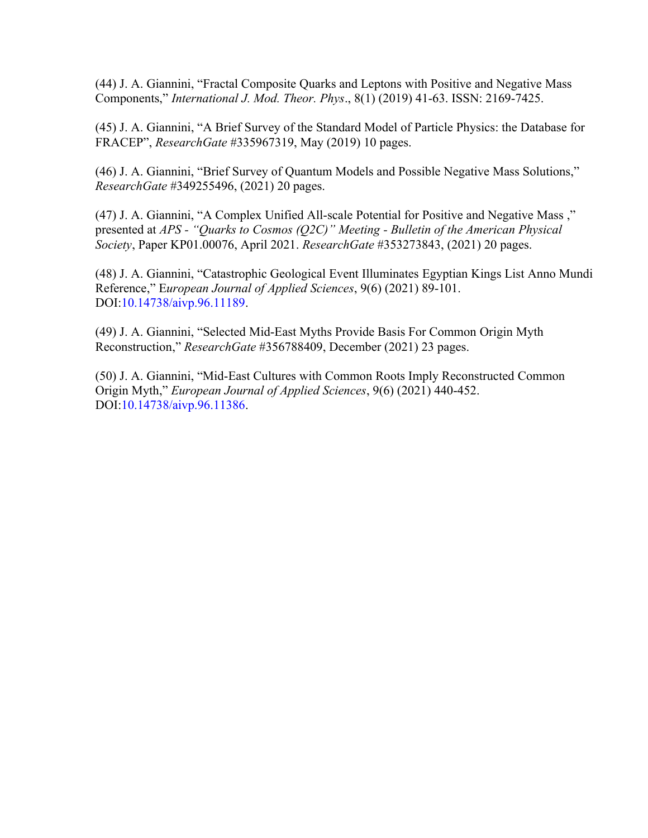(44) J. A. Giannini, "Fractal Composite Quarks and Leptons with Positive and Negative Mass Components," *International J. Mod. Theor. Phys*., 8(1) (2019) 41-63. ISSN: 2169-7425.

(45) J. A. Giannini, "A Brief Survey of the Standard Model of Particle Physics: the Database for FRACEP", *ResearchGate* #335967319, May (2019) 10 pages.

(46) J. A. Giannini, "Brief Survey of Quantum Models and Possible Negative Mass Solutions," *ResearchGate* #349255496, (2021) 20 pages.

(47) J. A. Giannini, "A Complex Unified All-scale Potential for Positive and Negative Mass ," presented at *APS - "Quarks to Cosmos (Q2C)" Meeting - Bulletin of the American Physical Society*, Paper KP01.00076, April 2021. *ResearchGate* #353273843, (2021) 20 pages.

(48) J. A. Giannini, "Catastrophic Geological Event Illuminates Egyptian Kings List Anno Mundi Reference," E*uropean Journal of Applied Sciences*, 9(6) (2021) 89-101. DOI:10.14738/aivp.96.11189.

(49) J. A. Giannini, "Selected Mid-East Myths Provide Basis For Common Origin Myth Reconstruction," *ResearchGate* #356788409, December (2021) 23 pages.

(50) J. A. Giannini, "Mid-East Cultures with Common Roots Imply Reconstructed Common Origin Myth," *European Journal of Applied Sciences*, 9(6) (2021) 440-452. DOI:10.14738/aivp.96.11386.